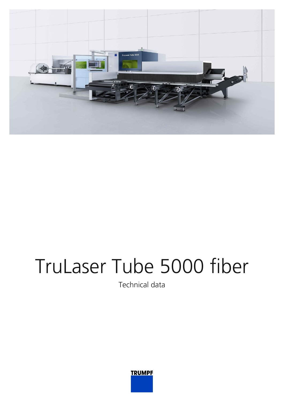

## TruLaser Tube 5000 fiber

Technical data

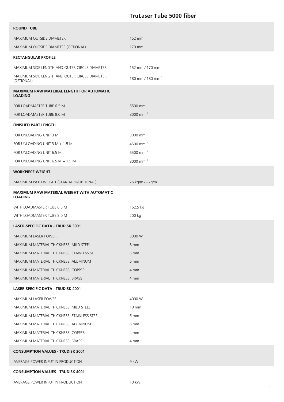## **TruLaser Tube 5000 fiber**

| <b>ROUND TUBE</b>                                                   |                              |
|---------------------------------------------------------------------|------------------------------|
| MAXIMUM OUTSIDE DIAMETER                                            | 152 mm                       |
| MAXIMUM OUTSIDE DIAMETER (OPTIONAL)                                 | 170 mm $1$                   |
| <b>RECTANGULAR PROFILE</b>                                          |                              |
| MAXIMUM SIDE LENGTH AND OUTER CIRCLE DIAMETER                       | 152 mm / 170 mm              |
| MAXIMUM SIDE LENGTH AND OUTER CIRCLE DIAMETER<br>(OPTIONAL)         | 180 mm / 180 mm <sup>2</sup> |
| <b>MAXIMUM RAW MATERIAL LENGTH FOR AUTOMATIC</b><br><b>LOADING</b>  |                              |
| FOR LOADMASTER TUBE 6.5 M                                           | 6500 mm                      |
| FOR LOADMASTER TUBE 8.0 M                                           | 8000 mm <sup>3</sup>         |
| <b>FINISHED PART LENGTH</b>                                         |                              |
| FOR UNLOADING UNIT 3 M                                              | 3000 mm                      |
| FOR UNLOADING UNIT 3 M + 1.5 M                                      | 4500 mm <sup>3</sup>         |
| FOR UNLOADING UNIT 6.5 M                                            | 6500 mm <sup>3</sup>         |
| FOR UNLOADING UNIT 6.5 M + 1.5 M                                    | 8000 mm <sup>3</sup>         |
| <b>WORKPIECE WEIGHT</b>                                             |                              |
| MAXIMUM PATH WEIGHT (STANDARD/OPTIONAL)                             | 25 kg/m / - kg/m             |
| <b>MAXIMUM RAW MATERIAL WEIGHT WITH AUTOMATIC</b><br><b>LOADING</b> |                              |
| WITH LOADMASTER TUBE 6.5 M                                          | 162.5 kg                     |
| WITH LOADMASTER TUBE 8.0 M                                          | 200 kg                       |
| <b>LASER-SPECIFIC DATA - TRUDISK 3001</b>                           |                              |
| <b>MAXIMUM LASER POWER</b>                                          | 3000 W                       |
| MAXIMUM MATERIAL THICKNESS, MILD STEEL                              | 8 mm                         |
| MAXIMUM MATERIAL THICKNESS, STAINLESS STEEL                         | 5 mm                         |
| MAXIMUM MATERIAL THICKNESS, ALUMINUM                                | 6 mm                         |
| MAXIMUM MATERIAL THICKNESS, COPPER                                  | 4 mm                         |
| MAXIMUM MATERIAL THICKNESS, BRASS                                   | 4 mm                         |
| LASER-SPECIFIC DATA - TRUDISK 4001                                  |                              |
| MAXIMUM LASER POWER                                                 | 4000 W                       |
| MAXIMUM MATERIAL THICKNESS, MILD STEEL                              | 10 mm                        |
| MAXIMUM MATERIAL THICKNESS, STAINLESS STEEL                         | 6 mm                         |
| MAXIMUM MATERIAL THICKNESS, ALUMINUM                                | 6 mm                         |
| MAXIMUM MATERIAL THICKNESS, COPPER                                  | 4 mm                         |
| MAXIMUM MATERIAL THICKNESS, BRASS                                   | 4 mm                         |
| <b>CONSUMPTION VALUES - TRUDISK 3001</b>                            |                              |
| AVERAGE POWER INPUT IN PRODUCTION                                   | 9 kW                         |
| <b>CONSUMPTION VALUES - TRUDISK 4001</b>                            |                              |
| AVERAGE POWER INPUT IN PRODUCTION                                   | 10 kW                        |